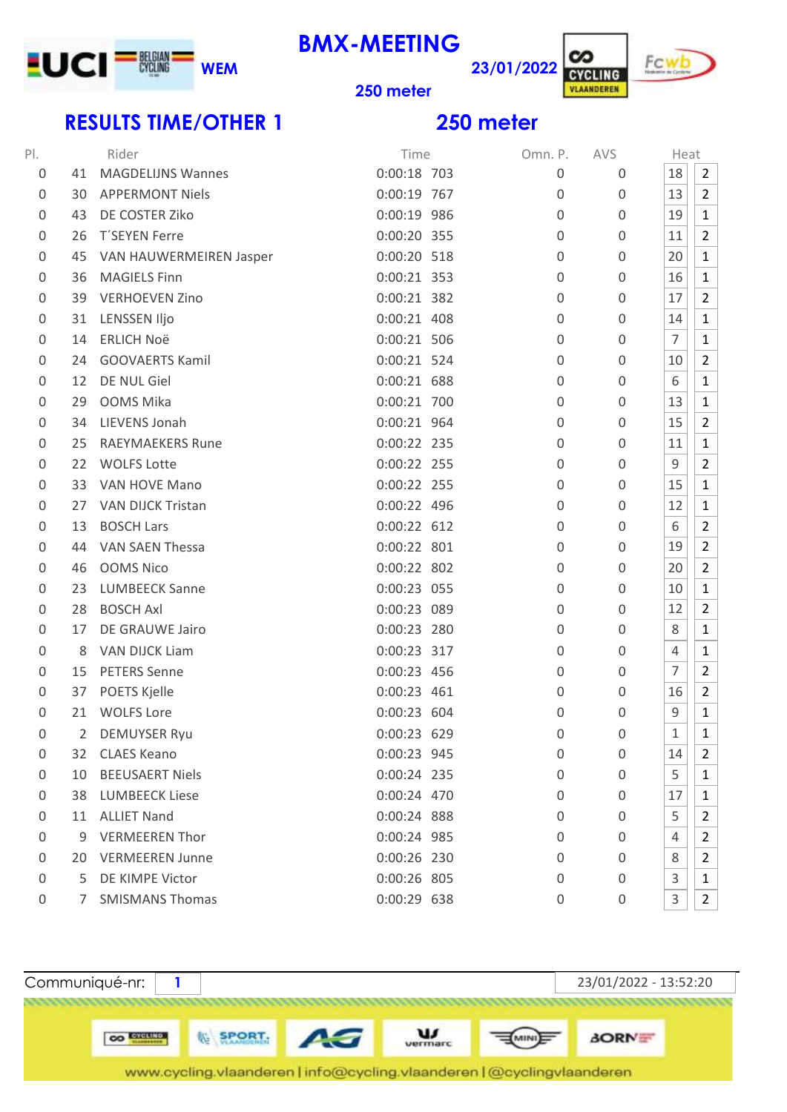

**BMX-MEETING**



**meter**

## **RESULTS TIME/OTHER 1 250 meter**

| PI.              |                | Rider                    | Time          | Omn. P.          | AVS              | Heat           |                |
|------------------|----------------|--------------------------|---------------|------------------|------------------|----------------|----------------|
| 0                | 41             | <b>MAGDELIJNS Wannes</b> | 0:00:18 703   | 0                | 0                | 18             | $\overline{2}$ |
| $\boldsymbol{0}$ | 30             | <b>APPERMONT Niels</b>   | 0:00:19 767   | $\mathbf 0$      | 0                | 13             | $\overline{2}$ |
| $\boldsymbol{0}$ | 43             | DE COSTER Ziko           | 0:00:19 986   | $\mathbf 0$      | 0                | 19             | 1              |
| 0                | 26             | T'SEYEN Ferre            | 0:00:20 355   | $\mathbf 0$      | 0                | 11             | $\overline{2}$ |
| $\boldsymbol{0}$ | 45             | VAN HAUWERMEIREN Jasper  | 0:00:20 518   | $\mathbf 0$      | 0                | 20             | $\mathbf{1}$   |
| $\boldsymbol{0}$ | 36             | <b>MAGIELS Finn</b>      | 0:00:21 353   | 0                | 0                | 16             | $\mathbf{1}$   |
| $\boldsymbol{0}$ | 39             | <b>VERHOEVEN Zino</b>    | 0:00:21 382   | $\boldsymbol{0}$ | 0                | 17             | $\overline{2}$ |
| 0                | 31             | LENSSEN Iljo             | $0:00:21$ 408 | 0                | 0                | 14             | $\mathbf{1}$   |
| $\overline{0}$   | 14             | <b>ERLICH Noë</b>        | 0:00:21 506   | 0                | 0                | $\overline{7}$ | $\mathbf{1}$   |
| $\overline{0}$   | 24             | <b>GOOVAERTS Kamil</b>   | 0:00:21 524   | 0                | 0                | 10             | 2              |
| $\overline{0}$   | 12             | DE NUL Giel              | 0:00:21 688   | $\mathbf 0$      | 0                | 6              | $\mathbf{1}$   |
| $\boldsymbol{0}$ | 29             | OOMS Mika                | 0:00:21 700   | $\boldsymbol{0}$ | 0                | 13             | $\mathbf{1}$   |
| $\overline{0}$   | 34             | LIEVENS Jonah            | 0:00:21 964   | $\boldsymbol{0}$ | 0                | 15             | 2              |
| 0                | 25             | <b>RAEYMAEKERS Rune</b>  | 0:00:22 235   | $\mathbf 0$      | 0                | 11             | $\mathbf{1}$   |
| $\boldsymbol{0}$ | 22             | <b>WOLFS Lotte</b>       | 0:00:22 255   | $\boldsymbol{0}$ | 0                | 9              | $\overline{2}$ |
| 0                | 33             | VAN HOVE Mano            | 0:00:22 255   | $\mathbf 0$      | 0                | 15             | 1              |
| 0                | 27             | <b>VAN DIJCK Tristan</b> | 0:00:22 496   | $\boldsymbol{0}$ | 0                | 12             | $\mathbf{1}$   |
| $\boldsymbol{0}$ | 13             | <b>BOSCH Lars</b>        | 0:00:22 612   | $\mathbf 0$      | 0                | 6              | $\overline{2}$ |
| $\mathbf 0$      | 44             | <b>VAN SAEN Thessa</b>   | 0:00:22 801   | $\mathbf 0$      | 0                | 19             | $\overline{2}$ |
| $\mathbf 0$      | 46             | <b>OOMS Nico</b>         | 0:00:22 802   | $\mathbf 0$      | 0                | 20             | $\overline{2}$ |
| 0                | 23             | <b>LUMBEECK Sanne</b>    | 0:00:23 055   | 0                | 0                | 10             | $\mathbf{1}$   |
| $\boldsymbol{0}$ | 28             | <b>BOSCH Axl</b>         | 0:00:23 089   | 0                | 0                | 12             | $\overline{2}$ |
| $\overline{0}$   | 17             | DE GRAUWE Jairo          | 0:00:23 280   | 0                | 0                | 8              | $\mathbf{1}$   |
| $\boldsymbol{0}$ | 8              | <b>VAN DIJCK Liam</b>    | 0:00:23 317   | $\boldsymbol{0}$ | 0                | 4              | 1              |
| $\boldsymbol{0}$ | 15             | <b>PETERS Senne</b>      | 0:00:23 456   | 0                | 0                | $\overline{7}$ | $\overline{2}$ |
| 0                | 37             | <b>POETS Kjelle</b>      | 0:00:23 461   | 0                | 0                | 16             | $\overline{2}$ |
| 0                | 21             | <b>WOLFS Lore</b>        | 0:00:23 604   | 0                | 0                | $\mathsf 9$    | $\mathbf{1}$   |
| 0                | $\overline{2}$ | <b>DEMUYSER Ryu</b>      | 0:00:23 629   | $\overline{0}$   | 0                | 1              | $\mathbf{1}$   |
| 0                | 32.            | <b>CLAES Keano</b>       | 0:00:23 945   | 0                | 0                | 14             | $\overline{2}$ |
| 0                | 10             | <b>BEEUSAERT Niels</b>   | 0:00:24 235   | 0                | 0                | 5              | $\mathbf{1}$   |
| 0                | 38             | <b>LUMBEECK Liese</b>    | 0:00:24 470   | 0                | 0                | 17             | $\mathbf{1}$   |
| 0                | 11             | <b>ALLIET Nand</b>       | 0:00:24 888   | 0                | 0                | 5              | 2              |
| $\boldsymbol{0}$ | 9              | <b>VERMEEREN Thor</b>    | 0:00:24 985   | 0                | 0                | 4              | $\overline{2}$ |
| 0                |                | 20 VERMEEREN Junne       | 0:00:26 230   | 0                | 0                | 8              | $\overline{2}$ |
| $\mathbf 0$      |                | 5 DE KIMPE Victor        | 0:00:26 805   | 0                | 0                | 3              | 1              |
| 0                |                | 7 SMISMANS Thomas        | 0:00:29 638   | $\boldsymbol{0}$ | $\boldsymbol{0}$ | 3              | $\overline{2}$ |